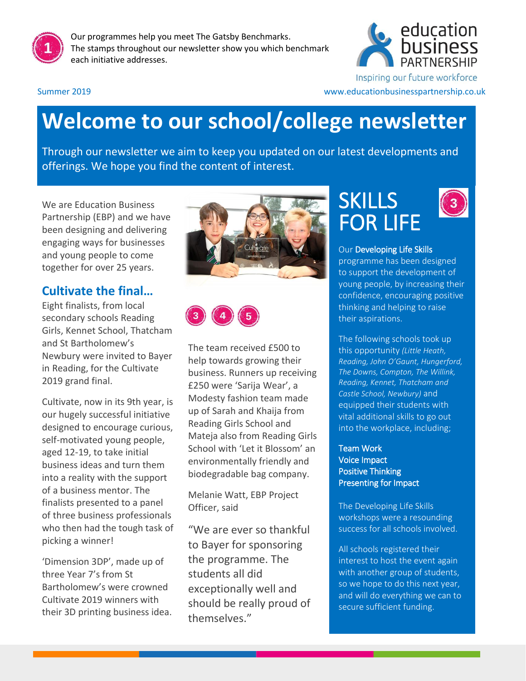

Our programmes help you meet The Gatsby Benchmarks. The stamps throughout our newsletter show you which benchmark each initiative addresses.



Inspiring our future workforce

#### Summer 2019 www.educationbusinesspartnership.co.uk

# **Welcome to our school/college newsletter**

Through our newsletter we aim to keep you updated on our latest developments and offerings. We hope you find the content of interest.

We are Education Business Partnership (EBP) and we have been designing and delivering engaging ways for businesses and young people to come together for over 25 years.

#### **Cultivate the final…**

Eight finalists, from local secondary schools Reading Girls, Kennet School, Thatcham and St Bartholomew's Newbury were invited to Bayer in Reading, for the Cultivate 2019 grand final.

Cultivate, now in its 9th year, is our hugely successful initiative designed to encourage curious, self-motivated young people, aged 12-19, to take initial business ideas and turn them into a reality with the support of a business mentor. The finalists presented to a panel of three business professionals who then had the tough task of picking a winner!

'Dimension 3DP', made up of three Year 7's from St Bartholomew's were crowned Cultivate 2019 winners with their 3D printing business idea.





The team received £500 to help towards growing their business. Runners up receiving £250 were 'Sarija Wear', a Modesty fashion team made up of Sarah and Khaija from Reading Girls School and Mateja also from Reading Girls School with 'Let it Blossom' an environmentally friendly and biodegradable bag company.

Melanie Watt, EBP Project Officer, said

"We are ever so thankful to Bayer for sponsoring the programme. The students all did exceptionally well and should be really proud of themselves."

## **SKILLS** FOR LIFE



#### Our Developing Life Skills

programme has been designed to support the development of young people, by increasing their confidence, encouraging positive thinking and helping to raise their aspirations.

The following schools took up this opportunity *(Little Heath, Reading, John O'Gaunt, Hungerford, The Downs, Compton, The Willink, Reading, Kennet, Thatcham and Castle School, Newbury)* and equipped their students with vital additional skills to go out into the workplace, including;

Team Work Voice Impact Positive Thinking Presenting for Impact

The Developing Life Skills workshops were a resounding success for all schools involved.

All schools registered their interest to host the event again with another group of students, so we hope to do this next year, and will do everything we can to secure sufficient funding.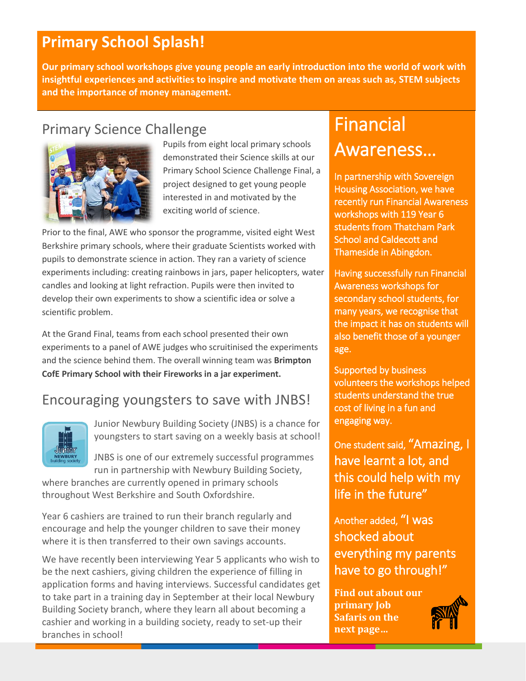## **Primary School Splash!**

**Our primary school workshops give young people an early introduction into the world of work with insightful experiences and activities to inspire and motivate them on areas such as, STEM subjects and the importance of money management.**

### Primary Science Challenge



Pupils from eight local primary schools demonstrated their Science skills at our Primary School Science Challenge Final, a project designed to get young people interested in and motivated by the exciting world of science.

Prior to the final, AWE who sponsor the programme, visited eight West Berkshire primary schools, where their graduate Scientists worked with pupils to demonstrate science in action. They ran a variety of science experiments including: creating rainbows in jars, paper helicopters, water candles and looking at light refraction. Pupils were then invited to develop their own experiments to show a scientific idea or solve a scientific problem.

At the Grand Final, teams from each school presented their own experiments to a panel of AWE judges who scruitinised the experiments and the science behind them. The overall winning team was **Brimpton CofE Primary School with their Fireworks in a jar experiment.**

### Encouraging youngsters to save with JNBS!



Junior Newbury Building Society (JNBS) is a chance for youngsters to start saving on a weekly basis at school!

JNBS is one of our extremely successful programmes run in partnership with Newbury Building Society,

where branches are currently opened in primary schools throughout West Berkshire and South Oxfordshire.

Year 6 cashiers are trained to run their branch regularly and encourage and help the younger children to save their money where it is then transferred to their own savings accounts.

We have recently been interviewing Year 5 applicants who wish to be the next cashiers, giving children the experience of filling in application forms and having interviews. Successful candidates get to take part in a training day in September at their local Newbury Building Society branch, where they learn all about becoming a cashier and working in a building society, ready to set-up their branches in school!

## Financial Awareness…

In partnership with Sovereign Housing Association, we have recently run Financial Awareness workshops with 119 Year 6 students from Thatcham Park School and Caldecott and Thameside in Abingdon.

Having successfully run Financial Awareness workshops for secondary school students, for many years, we recognise that the impact it has on students will also benefit those of a younger age.

Supported by business volunteers the workshops helped students understand the true cost of living in a fun and engaging way.

One student said, "Amazing, I have learnt a lot, and this could help with my life in the future"

Another added, "I was shocked about everything my parents have to go through!"

**Find out about our primary Job Safaris on the next page…**

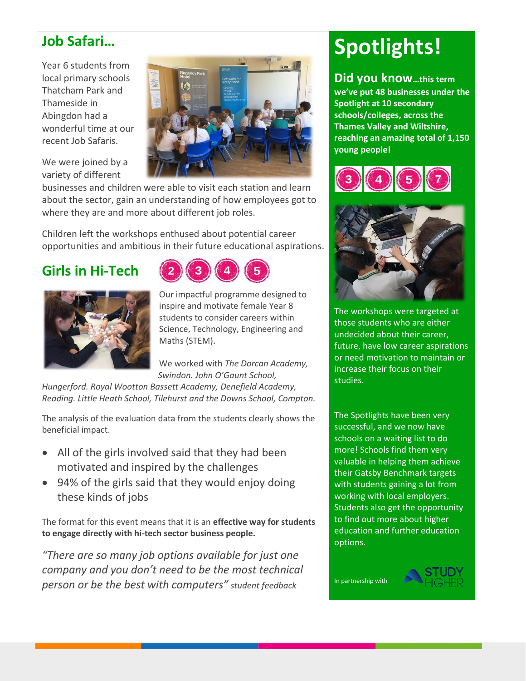### **Job Safari…**

Year 6 students from local primary schools Thatcham Park and Thameside in Abingdon had a wonderful time at our recent Job Safaris.

We were joined by a variety of different

businesses and children were able to visit each station and learn about the sector, gain an understanding of how employees got to where they are and more about different job roles.

Children left the workshops enthused about potential career opportunities and ambitious in their future educational aspirations.

### **Girls in Hi-Tech**



Our impactful programme designed to inspire and motivate female Year 8 students to consider careers within Science, Technology, Engineering and Maths (STEM).

We worked with *The Dorcan Academy, Swindon. John O'Gaunt School,* 

*Hungerford. Royal Wootton Bassett Academy, Denefield Academy, Reading. Little Heath School, Tilehurst and the Downs School, Compton.*

The analysis of the evaluation data from the students clearly shows the beneficial impact.

- All of the girls involved said that they had been motivated and inspired by the challenges
- 94% of the girls said that they would enjoy doing these kinds of jobs

The format for this event means that it is an **effective way for students to engage directly with hi-tech sector business people.**

*"There are so many job options available for just one company and you don't need to be the most technical person or be the best with computers" student feedback*

# **Spotlights!**

**Did you know…this term we've put 48 businesses under the Spotlight at 10 secondary schools/colleges, across the Thames Valley and Wiltshire, reaching an amazing total of 1,150 young people!**





The workshops were targeted at those students who are either undecided about their career, future, have low career aspirations or need motivation to maintain or increase their focus on their studies.

The Spotlights have been very successful, and we now have schools on a waiting list to do more! Schools find them very valuable in helping them achieve their Gatsby Benchmark targets with students gaining a lot from working with local employers. Students also get the opportunity to find out more about higher education and further education options.

In partnership with

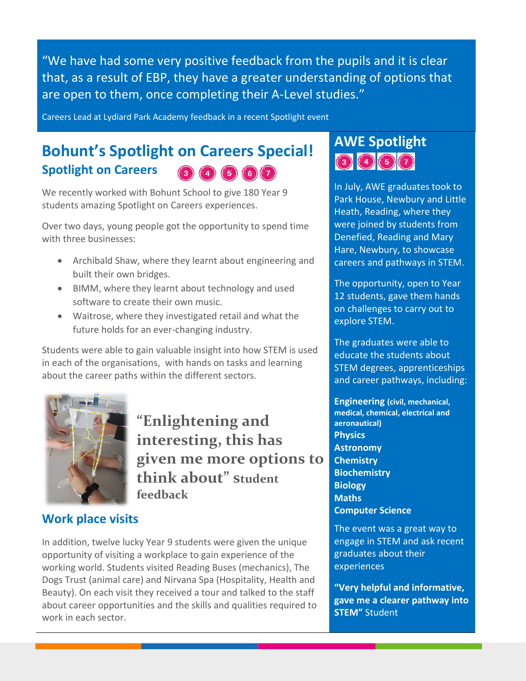"We have had some very positive feedback from the pupils and it is clear that, as a result of EBP, they have a greater understanding of options that are open to them, once completing their A-Level studies."

Careers Lead at Lydiard Park Academy feedback in a recent Spotlight event

## **Bohunt's Spotlight on Careers Special! Spotlight on Careers**

We recently worked with Bohunt School to give 180 Year 9 students amazing Spotlight on Careers experiences.

Over two days, young people got the opportunity to spend time with three businesses:

- Archibald Shaw, where they learnt about engineering and built their own bridges.
- BIMM, where they learnt about technology and used software to create their own music.
- Waitrose, where they investigated retail and what the future holds for an ever-changing industry.

Students were able to gain valuable insight into how STEM is used in each of the organisations, with hands on tasks and learning about the career paths within the different sectors.



**"Enlightening and interesting, this has given me more options to think about" student feedback**

#### **Work place visits**

In addition, twelve lucky Year 9 students were given the unique opportunity of visiting a workplace to gain experience of the working world. Students visited Reading Buses (mechanics), The Dogs Trust (animal care) and Nirvana Spa (Hospitality, Health and Beauty). On each visit they received a tour and talked to the staff about career opportunities and the skills and qualities required to work in each sector.

## **AWE Spotlight** 3457

In July, AWE graduates took to Park House, Newbury and Little Heath, Reading, where they were joined by students from Denefied, Reading and Mary Hare, Newbury, to showcase careers and pathways in STEM.

The opportunity, open to Year 12 students, gave them hands on challenges to carry out to explore STEM.

The graduates were able to educate the students about STEM degrees, apprenticeships and career pathways, including:

**Engineering (civil, mechanical, medical, chemical, electrical and aeronautical) Physics Astronomy Chemistry Biochemistry Biology Maths Computer Science** 

The event was a great way to engage in STEM and ask recent graduates about their experiences

**"Very helpful and informative, gave me a clearer pathway into STEM"** Student